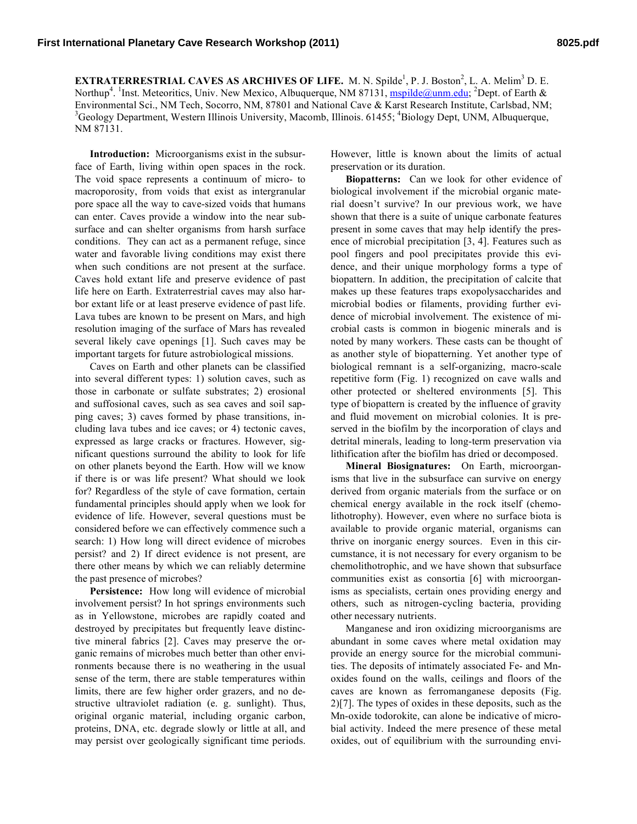**EXTRATERRESTRIAL CAVES AS ARCHIVES OF LIFE.** M. N. Spilde<sup>1</sup>, P. J. Boston<sup>2</sup>, L. A. Melim<sup>3</sup> D. E. Northup<sup>4</sup>. <sup>1</sup>Inst. Meteoritics, Univ. New Mexico, Albuquerque, NM 87131, **mspilde@unm.edu**; <sup>2</sup>Dept. of Earth & Environmental Sci., NM Tech, Socorro, NM, 87801 and National Cave & Karst Research Institute, Carlsbad, NM; 3 Geology Department, Western Illinois University, Macomb, Illinois. 61455; <sup>4</sup>Biology Dept, UNM, Albuquerque, NM 87131.

**Introduction:** Microorganisms exist in the subsurface of Earth, living within open spaces in the rock. The void space represents a continuum of micro- to macroporosity, from voids that exist as intergranular pore space all the way to cave-sized voids that humans can enter. Caves provide a window into the near subsurface and can shelter organisms from harsh surface conditions. They can act as a permanent refuge, since water and favorable living conditions may exist there when such conditions are not present at the surface. Caves hold extant life and preserve evidence of past life here on Earth. Extraterrestrial caves may also harbor extant life or at least preserve evidence of past life. Lava tubes are known to be present on Mars, and high resolution imaging of the surface of Mars has revealed several likely cave openings [1]. Such caves may be important targets for future astrobiological missions.

Caves on Earth and other planets can be classified into several different types: 1) solution caves, such as those in carbonate or sulfate substrates; 2) erosional and suffosional caves, such as sea caves and soil sapping caves; 3) caves formed by phase transitions, including lava tubes and ice caves; or 4) tectonic caves, expressed as large cracks or fractures. However, significant questions surround the ability to look for life on other planets beyond the Earth. How will we know if there is or was life present? What should we look for? Regardless of the style of cave formation, certain fundamental principles should apply when we look for evidence of life. However, several questions must be considered before we can effectively commence such a search: 1) How long will direct evidence of microbes persist? and 2) If direct evidence is not present, are there other means by which we can reliably determine the past presence of microbes?

**Persistence:** How long will evidence of microbial involvement persist? In hot springs environments such as in Yellowstone, microbes are rapidly coated and destroyed by precipitates but frequently leave distinctive mineral fabrics [2]. Caves may preserve the organic remains of microbes much better than other environments because there is no weathering in the usual sense of the term, there are stable temperatures within limits, there are few higher order grazers, and no destructive ultraviolet radiation (e. g. sunlight). Thus, original organic material, including organic carbon, proteins, DNA, etc. degrade slowly or little at all, and may persist over geologically significant time periods. However, little is known about the limits of actual preservation or its duration.

**Biopatterns:** Can we look for other evidence of biological involvement if the microbial organic material doesn't survive? In our previous work, we have shown that there is a suite of unique carbonate features present in some caves that may help identify the presence of microbial precipitation [3, 4]. Features such as pool fingers and pool precipitates provide this evidence, and their unique morphology forms a type of biopattern. In addition, the precipitation of calcite that makes up these features traps exopolysaccharides and microbial bodies or filaments, providing further evidence of microbial involvement. The existence of microbial casts is common in biogenic minerals and is noted by many workers. These casts can be thought of as another style of biopatterning. Yet another type of biological remnant is a self-organizing, macro-scale repetitive form (Fig. 1) recognized on cave walls and other protected or sheltered environments [5]. This type of biopattern is created by the influence of gravity and fluid movement on microbial colonies. It is preserved in the biofilm by the incorporation of clays and detrital minerals, leading to long-term preservation via lithification after the biofilm has dried or decomposed.

**Mineral Biosignatures:** On Earth, microorganisms that live in the subsurface can survive on energy derived from organic materials from the surface or on chemical energy available in the rock itself (chemolithotrophy). However, even where no surface biota is available to provide organic material, organisms can thrive on inorganic energy sources. Even in this circumstance, it is not necessary for every organism to be chemolithotrophic, and we have shown that subsurface communities exist as consortia [6] with microorganisms as specialists, certain ones providing energy and others, such as nitrogen-cycling bacteria, providing other necessary nutrients.

Manganese and iron oxidizing microorganisms are abundant in some caves where metal oxidation may provide an energy source for the microbial communities. The deposits of intimately associated Fe- and Mnoxides found on the walls, ceilings and floors of the caves are known as ferromanganese deposits (Fig. 2)[7]. The types of oxides in these deposits, such as the Mn-oxide todorokite, can alone be indicative of microbial activity. Indeed the mere presence of these metal oxides, out of equilibrium with the surrounding envi